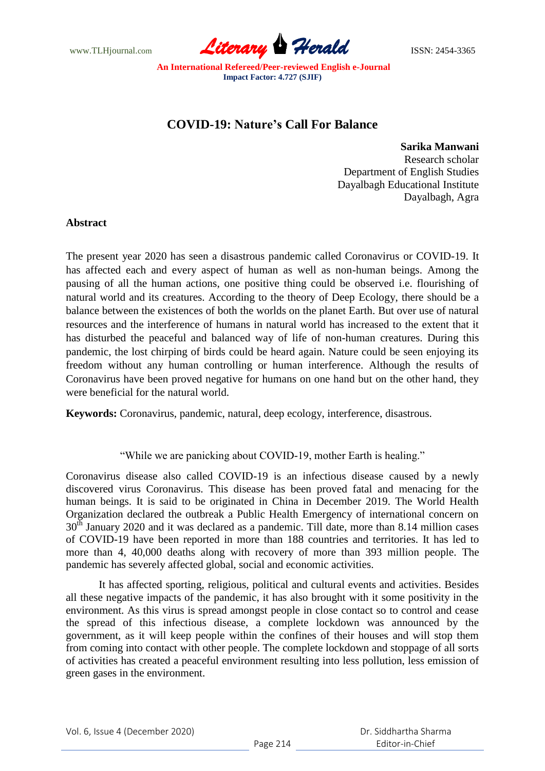www.TLHjournal.com **Literary Herald Herald ISSN: 2454-3365** 

**An International Refereed/Peer-reviewed English e-Journal Impact Factor: 4.727 (SJIF)**

## **COVID-19: Nature's Call For Balance**

 **Sarika Manwani** Research scholar Department of English Studies Dayalbagh Educational Institute Dayalbagh, Agra

## **Abstract**

The present year 2020 has seen a disastrous pandemic called Coronavirus or COVID-19. It has affected each and every aspect of human as well as non-human beings. Among the pausing of all the human actions, one positive thing could be observed i.e. flourishing of natural world and its creatures. According to the theory of Deep Ecology, there should be a balance between the existences of both the worlds on the planet Earth. But over use of natural resources and the interference of humans in natural world has increased to the extent that it has disturbed the peaceful and balanced way of life of non-human creatures. During this pandemic, the lost chirping of birds could be heard again. Nature could be seen enjoying its freedom without any human controlling or human interference. Although the results of Coronavirus have been proved negative for humans on one hand but on the other hand, they were beneficial for the natural world.

**Keywords:** Coronavirus, pandemic, natural, deep ecology, interference, disastrous.

"While we are panicking about COVID-19, mother Earth is healing."

Coronavirus disease also called COVID-19 is an infectious disease caused by a newly discovered virus Coronavirus. This disease has been proved fatal and menacing for the human beings. It is said to be originated in China in December 2019. The World Health Organization declared the outbreak a Public Health Emergency of international concern on  $30<sup>th</sup>$  January 2020 and it was declared as a pandemic. Till date, more than 8.14 million cases of COVID-19 have been reported in more than 188 countries and territories. It has led to more than 4, 40,000 deaths along with recovery of more than 393 million people. The pandemic has severely affected global, social and economic activities.

It has affected sporting, religious, political and cultural events and activities. Besides all these negative impacts of the pandemic, it has also brought with it some positivity in the environment. As this virus is spread amongst people in close contact so to control and cease the spread of this infectious disease, a complete lockdown was announced by the government, as it will keep people within the confines of their houses and will stop them from coming into contact with other people. The complete lockdown and stoppage of all sorts of activities has created a peaceful environment resulting into less pollution, less emission of green gases in the environment.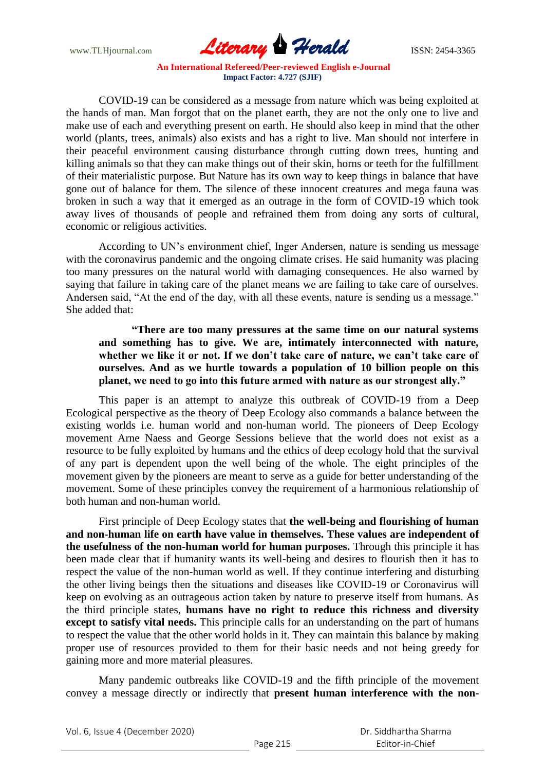www.TLHjournal.com **Literary Herald ISSN: 2454-3365** 

**An International Refereed/Peer-reviewed English e-Journal Impact Factor: 4.727 (SJIF)**

COVID-19 can be considered as a message from nature which was being exploited at the hands of man. Man forgot that on the planet earth, they are not the only one to live and make use of each and everything present on earth. He should also keep in mind that the other world (plants, trees, animals) also exists and has a right to live. Man should not interfere in their peaceful environment causing disturbance through cutting down trees, hunting and killing animals so that they can make things out of their skin, horns or teeth for the fulfillment of their materialistic purpose. But Nature has its own way to keep things in balance that have gone out of balance for them. The silence of these innocent creatures and mega fauna was broken in such a way that it emerged as an outrage in the form of COVID-19 which took away lives of thousands of people and refrained them from doing any sorts of cultural, economic or religious activities.

According to UN's environment chief, Inger Andersen, nature is sending us message with the coronavirus pandemic and the ongoing climate crises. He said humanity was placing too many pressures on the natural world with damaging consequences. He also warned by saying that failure in taking care of the planet means we are failing to take care of ourselves. Andersen said, "At the end of the day, with all these events, nature is sending us a message." She added that:

**"There are too many pressures at the same time on our natural systems and something has to give. We are, intimately interconnected with nature, whether we like it or not. If we don't take care of nature, we can't take care of ourselves. And as we hurtle towards a population of 10 billion people on this planet, we need to go into this future armed with nature as our strongest ally."**

This paper is an attempt to analyze this outbreak of COVID-19 from a Deep Ecological perspective as the theory of Deep Ecology also commands a balance between the existing worlds i.e. human world and non-human world. The pioneers of Deep Ecology movement Arne Naess and George Sessions believe that the world does not exist as a resource to be fully exploited by humans and the ethics of deep ecology hold that the survival of any part is dependent upon the well being of the whole. The eight principles of the movement given by the pioneers are meant to serve as a guide for better understanding of the movement. Some of these principles convey the requirement of a harmonious relationship of both human and non-human world.

First principle of Deep Ecology states that **the well-being and flourishing of human and non-human life on earth have value in themselves. These values are independent of the usefulness of the non-human world for human purposes.** Through this principle it has been made clear that if humanity wants its well-being and desires to flourish then it has to respect the value of the non-human world as well. If they continue interfering and disturbing the other living beings then the situations and diseases like COVID-19 or Coronavirus will keep on evolving as an outrageous action taken by nature to preserve itself from humans. As the third principle states, **humans have no right to reduce this richness and diversity except to satisfy vital needs.** This principle calls for an understanding on the part of humans to respect the value that the other world holds in it. They can maintain this balance by making proper use of resources provided to them for their basic needs and not being greedy for gaining more and more material pleasures.

Many pandemic outbreaks like COVID-19 and the fifth principle of the movement convey a message directly or indirectly that **present human interference with the non-**